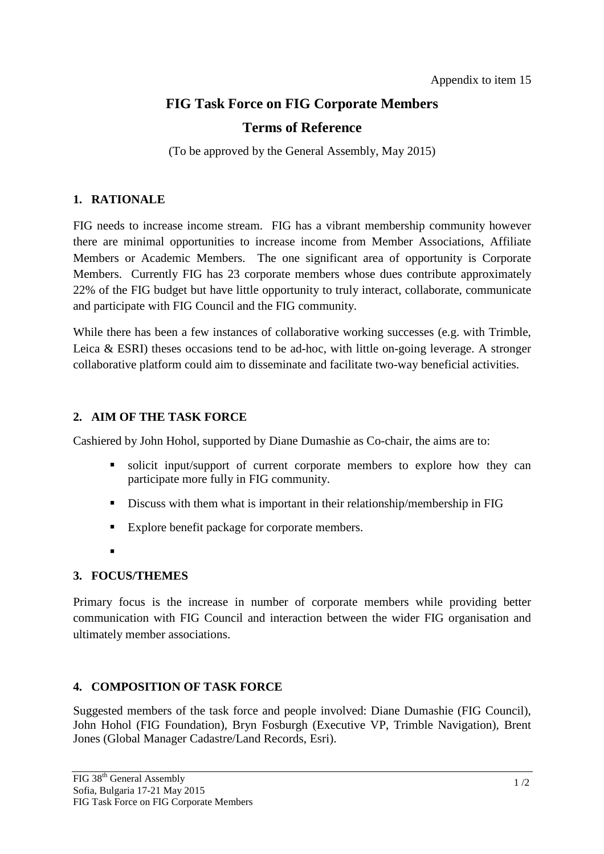# **FIG Task Force on FIG Corporate Members**

# **Terms of Reference**

(To be approved by the General Assembly, May 2015)

## **1. RATIONALE**

FIG needs to increase income stream. FIG has a vibrant membership community however there are minimal opportunities to increase income from Member Associations, Affiliate Members or Academic Members. The one significant area of opportunity is Corporate Members. Currently FIG has 23 corporate members whose dues contribute approximately 22% of the FIG budget but have little opportunity to truly interact, collaborate, communicate and participate with FIG Council and the FIG community.

While there has been a few instances of collaborative working successes (e.g. with Trimble, Leica & ESRI) theses occasions tend to be ad-hoc, with little on-going leverage. A stronger collaborative platform could aim to disseminate and facilitate two-way beneficial activities.

# **2. AIM OF THE TASK FORCE**

Cashiered by John Hohol, supported by Diane Dumashie as Co-chair, the aims are to:

- solicit input/support of current corporate members to explore how they can participate more fully in FIG community.
- Discuss with them what is important in their relationship/membership in FIG
- Explore benefit package for corporate members.
- .

# **3. FOCUS/THEMES**

Primary focus is the increase in number of corporate members while providing better communication with FIG Council and interaction between the wider FIG organisation and ultimately member associations.

# **4. COMPOSITION OF TASK FORCE**

Suggested members of the task force and people involved: Diane Dumashie (FIG Council), John Hohol (FIG Foundation), Bryn Fosburgh (Executive VP, Trimble Navigation), Brent Jones (Global Manager Cadastre/Land Records, Esri).